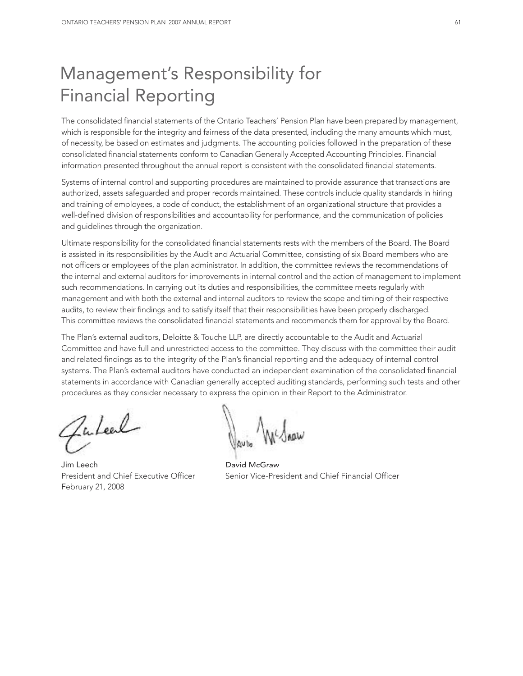# Management's Responsibility for Financial Reporting

The consolidated financial statements of the Ontario Teachers' Pension Plan have been prepared by management, which is responsible for the integrity and fairness of the data presented, including the many amounts which must, of necessity, be based on estimates and judgments. The accounting policies followed in the preparation of these consolidated financial statements conform to Canadian Generally Accepted Accounting Principles. Financial information presented throughout the annual report is consistent with the consolidated financial statements.

Systems of internal control and supporting procedures are maintained to provide assurance that transactions are authorized, assets safeguarded and proper records maintained. These controls include quality standards in hiring and training of employees, a code of conduct, the establishment of an organizational structure that provides a well-defined division of responsibilities and accountability for performance, and the communication of policies and guidelines through the organization.

Ultimate responsibility for the consolidated financial statements rests with the members of the Board. The Board is assisted in its responsibilities by the Audit and Actuarial Committee, consisting of six Board members who are not officers or employees of the plan administrator. In addition, the committee reviews the recommendations of the internal and external auditors for improvements in internal control and the action of management to implement such recommendations. In carrying out its duties and responsibilities, the committee meets regularly with management and with both the external and internal auditors to review the scope and timing of their respective audits, to review their findings and to satisfy itself that their responsibilities have been properly discharged. This committee reviews the consolidated financial statements and recommends them for approval by the Board.

The Plan's external auditors, Deloitte & Touche LLP, are directly accountable to the Audit and Actuarial Committee and have full and unrestricted access to the committee. They discuss with the committee their audit and related findings as to the integrity of the Plan's financial reporting and the adequacy of internal control systems. The Plan's external auditors have conducted an independent examination of the consolidated financial statements in accordance with Canadian generally accepted auditing standards, performing such tests and other procedures as they consider necessary to express the opinion in their Report to the Administrator.

Zuleel

Jim Leech David McGraw February 21, 2008

President and Chief Executive Officer Senior Vice-President and Chief Financial Officer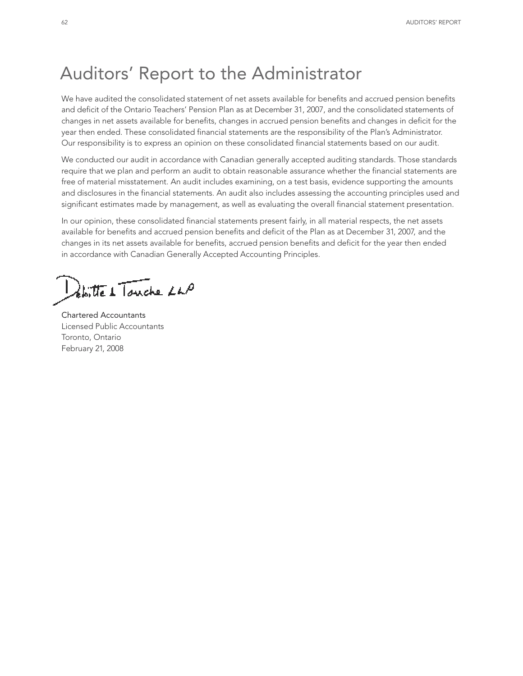# Auditors' Report to the Administrator

We have audited the consolidated statement of net assets available for benefits and accrued pension benefits and deficit of the Ontario Teachers' Pension Plan as at December 31, 2007, and the consolidated statements of changes in net assets available for benefits, changes in accrued pension benefits and changes in deficit for the year then ended. These consolidated financial statements are the responsibility of the Plan's Administrator. Our responsibility is to express an opinion on these consolidated financial statements based on our audit.

We conducted our audit in accordance with Canadian generally accepted auditing standards. Those standards require that we plan and perform an audit to obtain reasonable assurance whether the financial statements are free of material misstatement. An audit includes examining, on a test basis, evidence supporting the amounts and disclosures in the financial statements. An audit also includes assessing the accounting principles used and significant estimates made by management, as well as evaluating the overall financial statement presentation.

In our opinion, these consolidated financial statements present fairly, in all material respects, the net assets available for benefits and accrued pension benefits and deficit of the Plan as at December 31, 2007, and the changes in its net assets available for benefits, accrued pension benefits and deficit for the year then ended in accordance with Canadian Generally Accepted Accounting Principles.

botte 1 Touche LLP

Chartered Accountants Licensed Public Accountants Toronto, Ontario February 21, 2008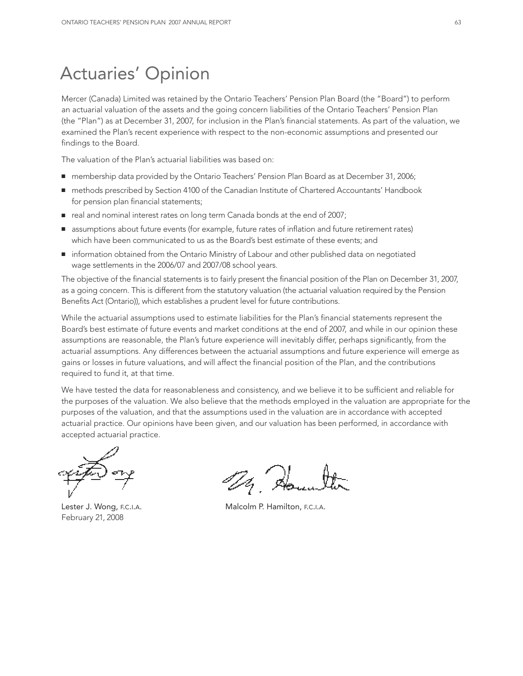# Actuaries' Opinion

Mercer (Canada) Limited was retained by the Ontario Teachers' Pension Plan Board (the "Board") to perform an actuarial valuation of the assets and the going concern liabilities of the Ontario Teachers' Pension Plan (the "Plan") as at December 31, 2007, for inclusion in the Plan's financial statements. As part of the valuation, we examined the Plan's recent experience with respect to the non-economic assumptions and presented our findings to the Board.

The valuation of the Plan's actuarial liabilities was based on:

- membership data provided by the Ontario Teachers' Pension Plan Board as at December 31, 2006;
- methods prescribed by Section 4100 of the Canadian Institute of Chartered Accountants' Handbook for pension plan financial statements;
- real and nominal interest rates on long term Canada bonds at the end of 2007;
- assumptions about future events (for example, future rates of inflation and future retirement rates) which have been communicated to us as the Board's best estimate of these events; and
- information obtained from the Ontario Ministry of Labour and other published data on negotiated wage settlements in the 2006/07 and 2007/08 school years.

The objective of the financial statements is to fairly present the financial position of the Plan on December 31, 2007, as a going concern. This is different from the statutory valuation (the actuarial valuation required by the Pension Benefits Act (Ontario)), which establishes a prudent level for future contributions.

While the actuarial assumptions used to estimate liabilities for the Plan's financial statements represent the Board's best estimate of future events and market conditions at the end of 2007, and while in our opinion these assumptions are reasonable, the Plan's future experience will inevitably differ, perhaps significantly, from the actuarial assumptions. Any differences between the actuarial assumptions and future experience will emerge as gains or losses in future valuations, and will affect the financial position of the Plan, and the contributions required to fund it, at that time.

We have tested the data for reasonableness and consistency, and we believe it to be sufficient and reliable for the purposes of the valuation. We also believe that the methods employed in the valuation are appropriate for the purposes of the valuation, and that the assumptions used in the valuation are in accordance with accepted actuarial practice. Our opinions have been given, and our valuation has been performed, in accordance with accepted actuarial practice.

February 21, 2008

Lester J. Wong, F.C.I.A. **Malcolm P. Hamilton, F.C.I.A.**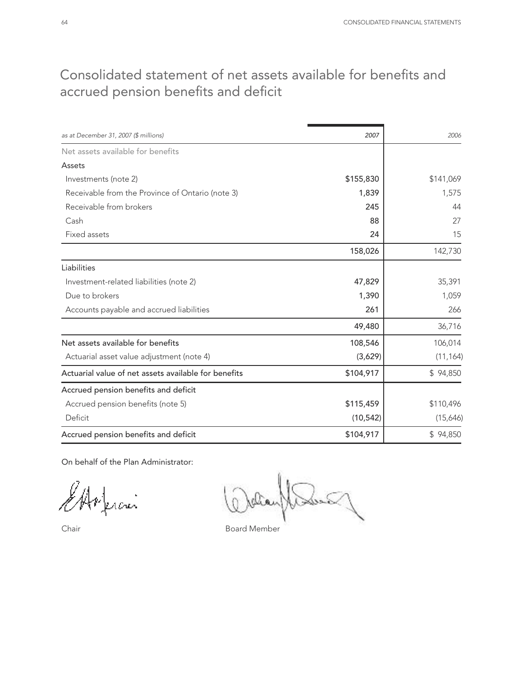## Consolidated statement of net assets available for benefits and accrued pension benefits and deficit

| as at December 31, 2007 (\$ millions)                | 2007      | 2006      |
|------------------------------------------------------|-----------|-----------|
| Net assets available for benefits                    |           |           |
| Assets                                               |           |           |
| Investments (note 2)                                 | \$155,830 | \$141,069 |
| Receivable from the Province of Ontario (note 3)     | 1,839     | 1,575     |
| Receivable from brokers                              | 245       | 44        |
| Cash                                                 | 88        | 27        |
| Fixed assets                                         | 24        | 15        |
|                                                      | 158,026   | 142,730   |
| Liabilities                                          |           |           |
| Investment-related liabilities (note 2)              | 47,829    | 35,391    |
| Due to brokers                                       | 1,390     | 1,059     |
| Accounts payable and accrued liabilities             | 261       | 266       |
|                                                      | 49,480    | 36,716    |
| Net assets available for benefits                    | 108,546   | 106,014   |
| Actuarial asset value adjustment (note 4)            | (3,629)   | (11, 164) |
| Actuarial value of net assets available for benefits | \$104,917 | \$94,850  |
| Accrued pension benefits and deficit                 |           |           |
| Accrued pension benefits (note 5)                    | \$115,459 | \$110,496 |
| Deficit                                              | (10, 542) | (15,646)  |
| Accrued pension benefits and deficit                 | \$104,917 | \$94,850  |

On behalf of the Plan Administrator:

.<br>uai

 $\mathbb{R}$ 

Chair **Board Member**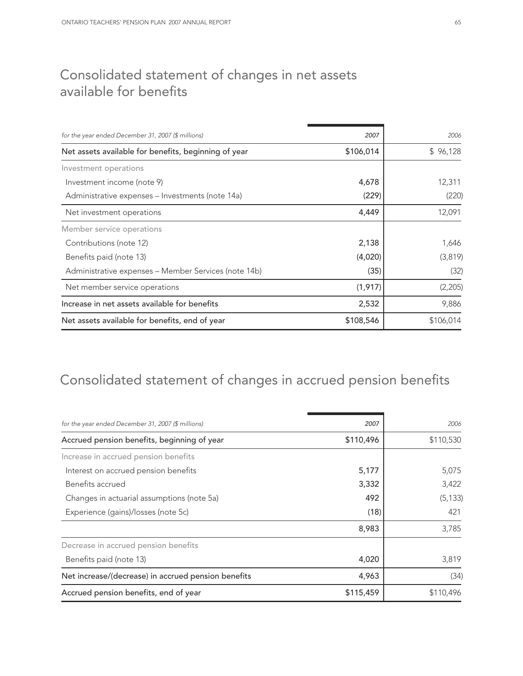## Consolidated statement of changes in net assets available for benefits

| for the year ended December 31, 2007 (\$ millions)   | 2007      | 2006      |
|------------------------------------------------------|-----------|-----------|
| Net assets available for benefits, beginning of year | \$106,014 | \$96,128  |
| Investment operations                                |           |           |
| Investment income (note 9)                           | 4,678     | 12,311    |
| Administrative expenses – Investments (note 14a)     | (229)     | (220)     |
| Net investment operations                            | 4,449     | 12,091    |
| Member service operations                            |           |           |
| Contributions (note 12)                              | 2,138     | 1,646     |
| Benefits paid (note 13)                              | (4,020)   | (3,819)   |
| Administrative expenses - Member Services (note 14b) | (35)      | (32)      |
| Net member service operations                        | (1, 917)  | (2,205)   |
| Increase in net assets available for benefits        | 2,532     | 9,886     |
| Net assets available for benefits, end of year       | \$108,546 | \$106,014 |

# Consolidated statement of changes in accrued pension benefits

| 2007      | 2006      |
|-----------|-----------|
| \$110,496 | \$110,530 |
|           |           |
| 5,177     | 5,075     |
| 3,332     | 3,422     |
| 492       | (5, 133)  |
| (18)      | 421       |
| 8,983     | 3,785     |
|           |           |
| 4,020     | 3,819     |
| 4,963     | (34)      |
| \$115,459 | \$110,496 |
|           |           |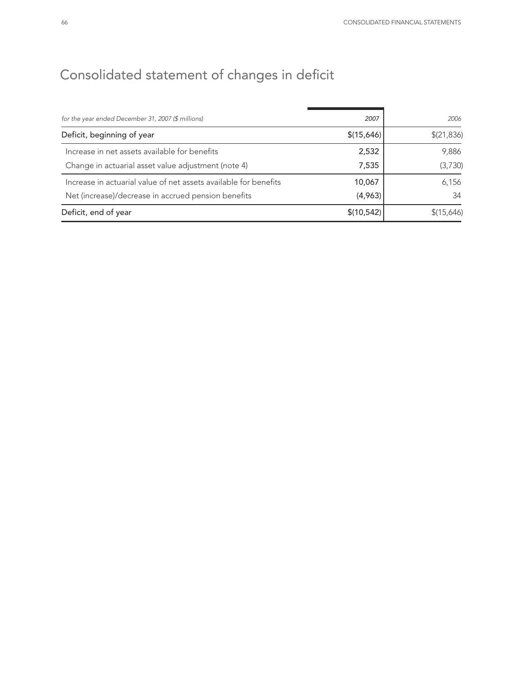# Consolidated statement of changes in deficit

| for the year ended December 31, 2007 (\$ millions)               | 2007        | 2006        |
|------------------------------------------------------------------|-------------|-------------|
| Deficit, beginning of year                                       | \$(15,646)  | \$(21, 836) |
| Increase in net assets available for benefits                    | 2,532       | 9,886       |
| Change in actuarial asset value adjustment (note 4)              | 7,535       | (3,730)     |
| Increase in actuarial value of net assets available for benefits | 10,067      | 6,156       |
| Net (increase)/decrease in accrued pension benefits              | (4,963)     | 34          |
| Deficit, end of year                                             | \$(10, 542) | \$(15,646)  |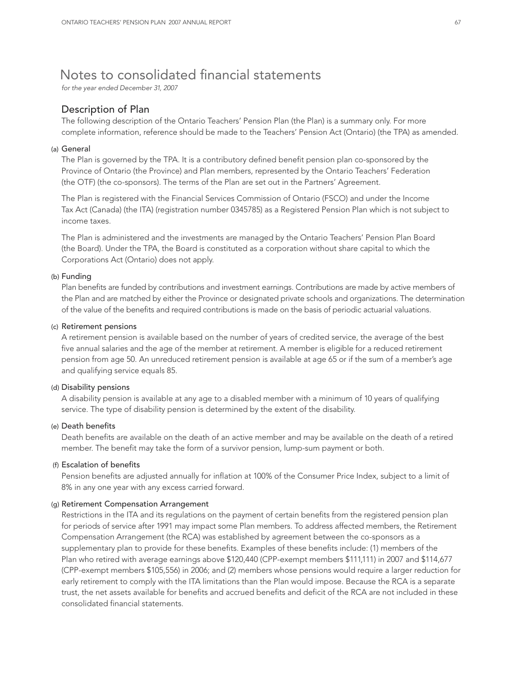## Notes to consolidated financial statements

*for the year ended December 31, 2007*

## Description of Plan

The following description of the Ontario Teachers' Pension Plan (the Plan) is a summary only. For more complete information, reference should be made to the Teachers' Pension Act (Ontario) (the TPA) as amended.

#### (a) General

The Plan is governed by the TPA. It is a contributory defined benefit pension plan co-sponsored by the Province of Ontario (the Province) and Plan members, represented by the Ontario Teachers' Federation (the OTF) (the co-sponsors). The terms of the Plan are set out in the Partners' Agreement.

The Plan is registered with the Financial Services Commission of Ontario (FSCO) and under the Income Tax Act (Canada) (the ITA) (registration number 0345785) as a Registered Pension Plan which is not subject to income taxes.

The Plan is administered and the investments are managed by the Ontario Teachers' Pension Plan Board (the Board). Under the TPA, the Board is constituted as a corporation without share capital to which the Corporations Act (Ontario) does not apply.

### (b) Funding

Plan benefits are funded by contributions and investment earnings. Contributions are made by active members of the Plan and are matched by either the Province or designated private schools and organizations. The determination of the value of the benefits and required contributions is made on the basis of periodic actuarial valuations.

#### (c) Retirement pensions

A retirement pension is available based on the number of years of credited service, the average of the best five annual salaries and the age of the member at retirement. A member is eligible for a reduced retirement pension from age 50. An unreduced retirement pension is available at age 65 or if the sum of a member's age and qualifying service equals 85.

#### (d) Disability pensions

A disability pension is available at any age to a disabled member with a minimum of 10 years of qualifying service. The type of disability pension is determined by the extent of the disability.

#### (e) Death benefits

Death benefits are available on the death of an active member and may be available on the death of a retired member. The benefit may take the form of a survivor pension, lump-sum payment or both.

## (f) Escalation of benefits

Pension benefits are adjusted annually for inflation at 100% of the Consumer Price Index, subject to a limit of 8% in any one year with any excess carried forward.

#### (g) Retirement Compensation Arrangement

Restrictions in the ITA and its regulations on the payment of certain benefits from the registered pension plan for periods of service after 1991 may impact some Plan members. To address affected members, the Retirement Compensation Arrangement (the RCA) was established by agreement between the co-sponsors as a supplementary plan to provide for these benefits. Examples of these benefits include: (1) members of the Plan who retired with average earnings above \$120,440 (CPP-exempt members \$111,111) in 2007 and \$114,677 (CPP-exempt members \$105,556) in 2006; and (2) members whose pensions would require a larger reduction for early retirement to comply with the ITA limitations than the Plan would impose. Because the RCA is a separate trust, the net assets available for benefits and accrued benefits and deficit of the RCA are not included in these consolidated financial statements.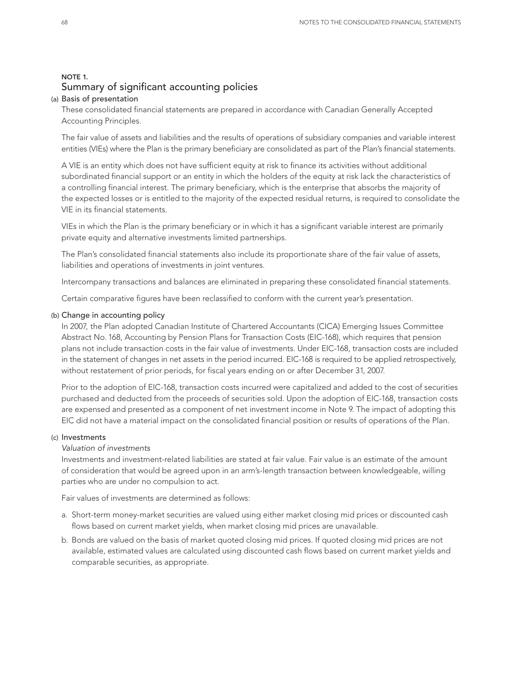## NOTE 1. Summary of significant accounting policies

### (a) Basis of presentation

These consolidated financial statements are prepared in accordance with Canadian Generally Accepted Accounting Principles.

The fair value of assets and liabilities and the results of operations of subsidiary companies and variable interest entities (VIEs) where the Plan is the primary beneficiary are consolidated as part of the Plan's financial statements.

A VIE is an entity which does not have sufficient equity at risk to finance its activities without additional subordinated financial support or an entity in which the holders of the equity at risk lack the characteristics of a controlling financial interest. The primary beneficiary, which is the enterprise that absorbs the majority of the expected losses or is entitled to the majority of the expected residual returns, is required to consolidate the VIE in its financial statements.

VIEs in which the Plan is the primary beneficiary or in which it has a significant variable interest are primarily private equity and alternative investments limited partnerships.

The Plan's consolidated financial statements also include its proportionate share of the fair value of assets, liabilities and operations of investments in joint ventures.

Intercompany transactions and balances are eliminated in preparing these consolidated financial statements.

Certain comparative figures have been reclassified to conform with the current year's presentation.

### (b) Change in accounting policy

In 2007, the Plan adopted Canadian Institute of Chartered Accountants (CICA) Emerging Issues Committee Abstract No. 168, Accounting by Pension Plans for Transaction Costs (EIC-168), which requires that pension plans not include transaction costs in the fair value of investments. Under EIC-168, transaction costs are included in the statement of changes in net assets in the period incurred. EIC-168 is required to be applied retrospectively, without restatement of prior periods, for fiscal years ending on or after December 31, 2007.

Prior to the adoption of EIC-168, transaction costs incurred were capitalized and added to the cost of securities purchased and deducted from the proceeds of securities sold. Upon the adoption of EIC-168, transaction costs are expensed and presented as a component of net investment income in Note 9. The impact of adopting this EIC did not have a material impact on the consolidated financial position or results of operations of the Plan.

#### (c) Investments

#### *Valuation of investments*

Investments and investment-related liabilities are stated at fair value. Fair value is an estimate of the amount of consideration that would be agreed upon in an arm's-length transaction between knowledgeable, willing parties who are under no compulsion to act.

Fair values of investments are determined as follows:

- a. Short-term money-market securities are valued using either market closing mid prices or discounted cash flows based on current market yields, when market closing mid prices are unavailable.
- b. Bonds are valued on the basis of market quoted closing mid prices. If quoted closing mid prices are not available, estimated values are calculated using discounted cash flows based on current market yields and comparable securities, as appropriate.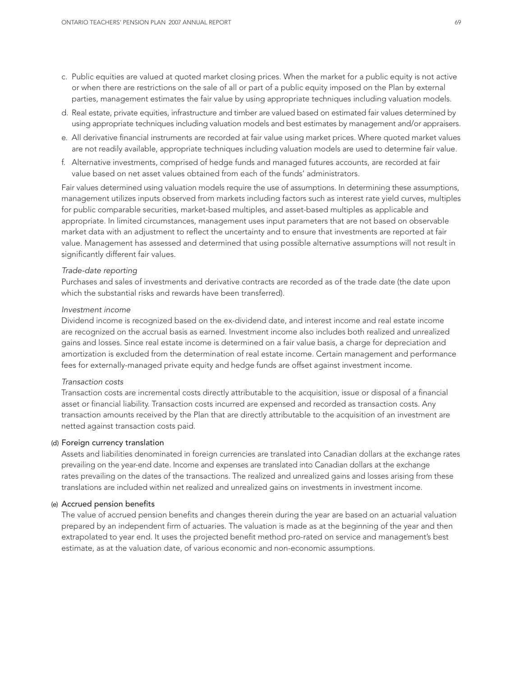- c. Public equities are valued at quoted market closing prices. When the market for a public equity is not active or when there are restrictions on the sale of all or part of a public equity imposed on the Plan by external parties, management estimates the fair value by using appropriate techniques including valuation models.
- d. Real estate, private equities, infrastructure and timber are valued based on estimated fair values determined by using appropriate techniques including valuation models and best estimates by management and/or appraisers.
- e. All derivative financial instruments are recorded at fair value using market prices. Where quoted market values are not readily available, appropriate techniques including valuation models are used to determine fair value.
- f. Alternative investments, comprised of hedge funds and managed futures accounts, are recorded at fair value based on net asset values obtained from each of the funds' administrators.

Fair values determined using valuation models require the use of assumptions. In determining these assumptions, management utilizes inputs observed from markets including factors such as interest rate yield curves, multiples for public comparable securities, market-based multiples, and asset-based multiples as applicable and appropriate. In limited circumstances, management uses input parameters that are not based on observable market data with an adjustment to reflect the uncertainty and to ensure that investments are reported at fair value. Management has assessed and determined that using possible alternative assumptions will not result in significantly different fair values.

#### *Trade-date reporting*

Purchases and sales of investments and derivative contracts are recorded as of the trade date (the date upon which the substantial risks and rewards have been transferred).

### *Investment income*

Dividend income is recognized based on the ex-dividend date, and interest income and real estate income are recognized on the accrual basis as earned. Investment income also includes both realized and unrealized gains and losses. Since real estate income is determined on a fair value basis, a charge for depreciation and amortization is excluded from the determination of real estate income. Certain management and performance fees for externally-managed private equity and hedge funds are offset against investment income.

#### *Transaction costs*

Transaction costs are incremental costs directly attributable to the acquisition, issue or disposal of a financial asset or financial liability. Transaction costs incurred are expensed and recorded as transaction costs. Any transaction amounts received by the Plan that are directly attributable to the acquisition of an investment are netted against transaction costs paid.

#### (d) Foreign currency translation

Assets and liabilities denominated in foreign currencies are translated into Canadian dollars at the exchange rates prevailing on the year-end date. Income and expenses are translated into Canadian dollars at the exchange rates prevailing on the dates of the transactions. The realized and unrealized gains and losses arising from these translations are included within net realized and unrealized gains on investments in investment income.

#### (e) Accrued pension benefits

The value of accrued pension benefits and changes therein during the year are based on an actuarial valuation prepared by an independent firm of actuaries. The valuation is made as at the beginning of the year and then extrapolated to year end. It uses the projected benefit method pro-rated on service and management's best estimate, as at the valuation date, of various economic and non-economic assumptions.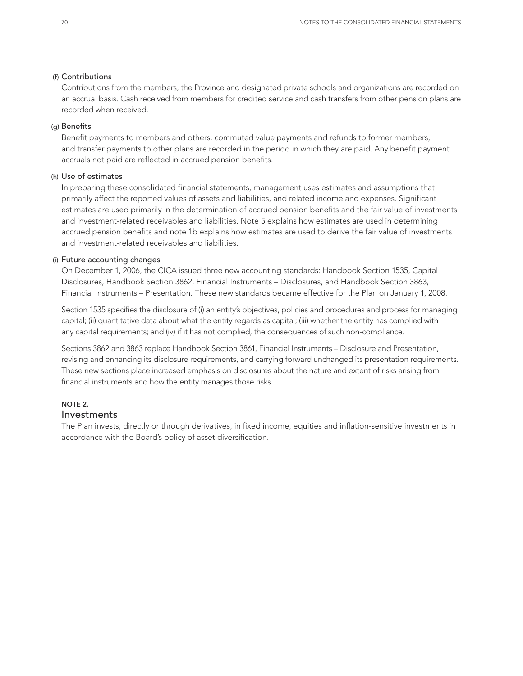#### (f) Contributions

Contributions from the members, the Province and designated private schools and organizations are recorded on an accrual basis. Cash received from members for credited service and cash transfers from other pension plans are recorded when received.

## (g) Benefits

Benefit payments to members and others, commuted value payments and refunds to former members, and transfer payments to other plans are recorded in the period in which they are paid. Any benefit payment accruals not paid are reflected in accrued pension benefits.

### (h) Use of estimates

In preparing these consolidated financial statements, management uses estimates and assumptions that primarily affect the reported values of assets and liabilities, and related income and expenses. Significant estimates are used primarily in the determination of accrued pension benefits and the fair value of investments and investment-related receivables and liabilities. Note 5 explains how estimates are used in determining accrued pension benefits and note 1b explains how estimates are used to derive the fair value of investments and investment-related receivables and liabilities.

### (i) Future accounting changes

On December 1, 2006, the CICA issued three new accounting standards: Handbook Section 1535, Capital Disclosures, Handbook Section 3862, Financial Instruments – Disclosures, and Handbook Section 3863, Financial Instruments – Presentation. These new standards became effective for the Plan on January 1, 2008.

Section 1535 specifies the disclosure of (i) an entity's objectives, policies and procedures and process for managing capital; (ii) quantitative data about what the entity regards as capital; (iii) whether the entity has complied with any capital requirements; and (iv) if it has not complied, the consequences of such non-compliance.

Sections 3862 and 3863 replace Handbook Section 3861, Financial Instruments – Disclosure and Presentation, revising and enhancing its disclosure requirements, and carrying forward unchanged its presentation requirements. These new sections place increased emphasis on disclosures about the nature and extent of risks arising from financial instruments and how the entity manages those risks.

## NOTE 2. Investments

The Plan invests, directly or through derivatives, in fixed income, equities and inflation-sensitive investments in accordance with the Board's policy of asset diversification.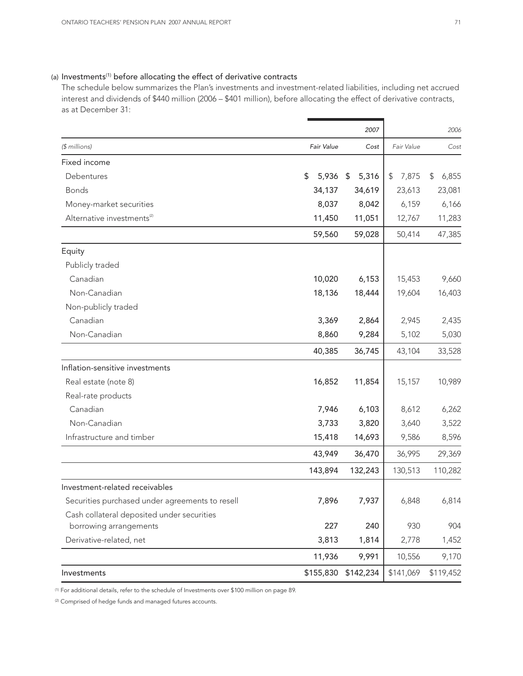## (a) Investments<sup>(1)</sup> before allocating the effect of derivative contracts

The schedule below summarizes the Plan's investments and investment-related liabilities, including net accrued interest and dividends of \$440 million (2006 – \$401 million), before allocating the effect of derivative contracts, as at December 31:

|                                                 |             | 2007        |             | 2006        |
|-------------------------------------------------|-------------|-------------|-------------|-------------|
| (\$ millions)                                   | Fair Value  | Cost        | Fair Value  | Cost        |
| Fixed income                                    |             |             |             |             |
| Debentures                                      | \$<br>5,936 | 5,316<br>\$ | \$<br>7,875 | \$<br>6,855 |
| <b>Bonds</b>                                    | 34,137      | 34,619      | 23,613      | 23,081      |
| Money-market securities                         | 8,037       | 8,042       | 6,159       | 6,166       |
| Alternative investments <sup>(2)</sup>          | 11,450      | 11,051      | 12,767      | 11,283      |
|                                                 | 59,560      | 59,028      | 50,414      | 47,385      |
| Equity                                          |             |             |             |             |
| Publicly traded                                 |             |             |             |             |
| Canadian                                        | 10,020      | 6,153       | 15,453      | 9,660       |
| Non-Canadian                                    | 18,136      | 18,444      | 19,604      | 16,403      |
| Non-publicly traded                             |             |             |             |             |
| Canadian                                        | 3,369       | 2,864       | 2,945       | 2,435       |
| Non-Canadian                                    | 8,860       | 9,284       | 5,102       | 5,030       |
|                                                 | 40,385      | 36,745      | 43,104      | 33,528      |
| Inflation-sensitive investments                 |             |             |             |             |
| Real estate (note 8)                            | 16,852      | 11,854      | 15,157      | 10,989      |
| Real-rate products                              |             |             |             |             |
| Canadian                                        | 7,946       | 6,103       | 8,612       | 6,262       |
| Non-Canadian                                    | 3,733       | 3,820       | 3,640       | 3,522       |
| Infrastructure and timber                       | 15,418      | 14,693      | 9,586       | 8,596       |
|                                                 | 43,949      | 36,470      | 36,995      | 29,369      |
|                                                 | 143,894     | 132,243     | 130,513     | 110,282     |
| Investment-related receivables                  |             |             |             |             |
| Securities purchased under agreements to resell | 7,896       | 7,937       | 6,848       | 6,814       |
| Cash collateral deposited under securities      |             |             |             |             |
| borrowing arrangements                          | 227         | 240         | 930         | 904         |
| Derivative-related, net                         | 3,813       | 1,814       | 2,778       | 1,452       |
|                                                 | 11,936      | 9,991       | 10,556      | 9,170       |
| Investments                                     | \$155,830   | \$142,234   | \$141,069   | \$119,452   |

(1) For additional details, refer to the schedule of Investments over \$100 million on page 89.

(2) Comprised of hedge funds and managed futures accounts.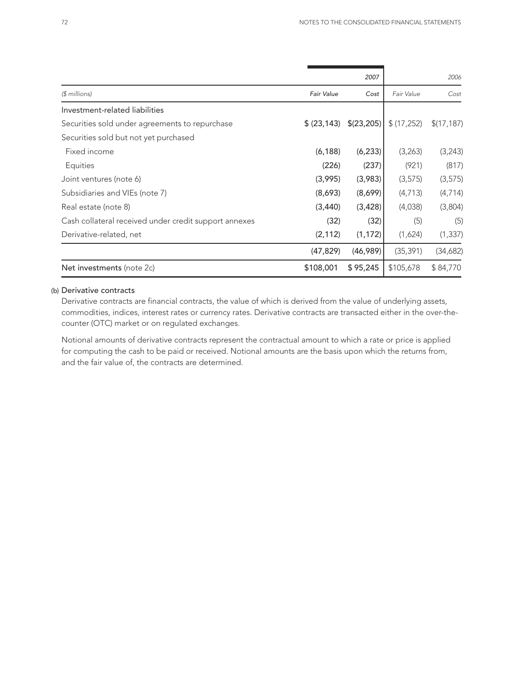|                                                       |                   | 2007       |            | 2006        |  |
|-------------------------------------------------------|-------------------|------------|------------|-------------|--|
| $$$ millions)                                         | <b>Fair Value</b> | Cost       | Fair Value | Cost        |  |
| Investment-related liabilities                        |                   |            |            |             |  |
| Securities sold under agreements to repurchase        | \$ (23, 143)      | \$(23,205) | \$(17,252) | \$(17, 187) |  |
| Securities sold but not yet purchased                 |                   |            |            |             |  |
| Fixed income                                          | (6, 188)          | (6, 233)   | (3,263)    | (3,243)     |  |
| Equities                                              | (226)             | (237)      | (921)      | (817)       |  |
| Joint ventures (note 6)                               | (3,995)           | (3,983)    | (3, 575)   | (3, 575)    |  |
| Subsidiaries and VIEs (note 7)                        | (8,693)           | (8,699)    | (4,713)    | (4,714)     |  |
| Real estate (note 8)                                  | (3,440)           | (3, 428)   | (4,038)    | (3,804)     |  |
| Cash collateral received under credit support annexes | (32)              | (32)       | (5)        | (5)         |  |
| Derivative-related, net                               | (2, 112)          | (1, 172)   | (1,624)    | (1, 337)    |  |
|                                                       | (47, 829)         | (46,989)   | (35, 391)  | (34,682)    |  |
| Net investments (note 2c)                             | \$108,001         | \$95,245   | \$105,678  | \$84,770    |  |
|                                                       |                   |            |            |             |  |

## (b) Derivative contracts

Derivative contracts are financial contracts, the value of which is derived from the value of underlying assets, commodities, indices, interest rates or currency rates. Derivative contracts are transacted either in the over-thecounter (OTC) market or on regulated exchanges.

Notional amounts of derivative contracts represent the contractual amount to which a rate or price is applied for computing the cash to be paid or received. Notional amounts are the basis upon which the returns from, and the fair value of, the contracts are determined.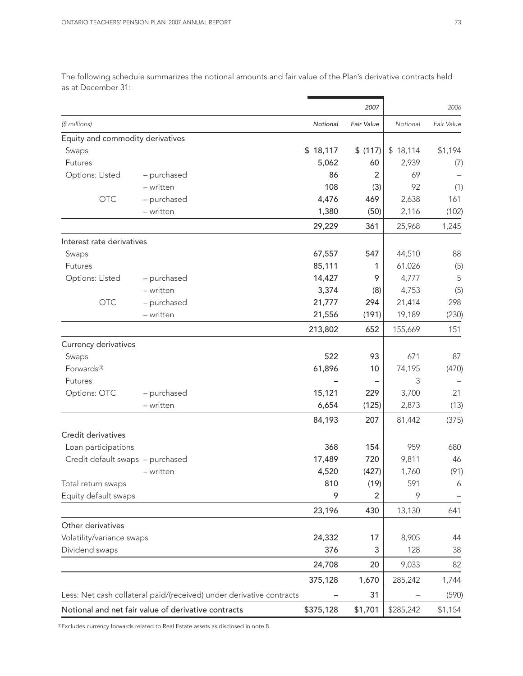|                                  |                                                                      |           | 2007           |           | 2006       |
|----------------------------------|----------------------------------------------------------------------|-----------|----------------|-----------|------------|
| (\$ millions)                    |                                                                      | Notional  | Fair Value     | Notional  | Fair Value |
| Equity and commodity derivatives |                                                                      |           |                |           |            |
| Swaps                            |                                                                      | \$18,117  | \$(117)        | \$18,114  | \$1,194    |
| Futures                          |                                                                      | 5,062     | 60             | 2,939     | (7)        |
| Options: Listed                  | - purchased                                                          | 86        | 2              | 69        |            |
|                                  | - written                                                            | 108       | (3)            | 92        | (1)        |
| <b>OTC</b>                       | - purchased                                                          | 4,476     | 469            | 2,638     | 161        |
|                                  | - written                                                            | 1,380     | (50)           | 2,116     | (102)      |
|                                  |                                                                      | 29,229    | 361            | 25,968    | 1,245      |
| Interest rate derivatives        |                                                                      |           |                |           |            |
| Swaps                            |                                                                      | 67,557    | 547            | 44,510    | 88         |
| Futures                          |                                                                      | 85,111    | 1              | 61,026    | (5)        |
| Options: Listed                  | - purchased                                                          | 14,427    | 9              | 4,777     | 5          |
|                                  | $-$ written                                                          | 3,374     | (8)            | 4,753     | (5)        |
| <b>OTC</b>                       | - purchased                                                          | 21,777    | 294            | 21,414    | 298        |
|                                  | - written                                                            | 21,556    | (191)          | 19,189    | (230)      |
|                                  |                                                                      | 213,802   | 652            | 155,669   | 151        |
| Currency derivatives             |                                                                      |           |                |           |            |
| Swaps                            |                                                                      | 522       | 93             | 671       | 87         |
| Forwards <sup>(3)</sup>          |                                                                      | 61,896    | 10             | 74,195    | (470)      |
| Futures                          |                                                                      |           |                | 3         |            |
| Options: OTC                     | - purchased                                                          | 15,121    | 229            | 3,700     | 21         |
|                                  | - written                                                            | 6,654     | (125)          | 2,873     | (13)       |
|                                  |                                                                      | 84,193    | 207            | 81,442    | (375)      |
| Credit derivatives               |                                                                      |           |                |           |            |
| Loan participations              |                                                                      | 368       | 154            | 959       | 680        |
| Credit default swaps - purchased |                                                                      | 17,489    | 720            | 9,811     | 46         |
|                                  | - written                                                            | 4,520     | (427)          | 1,760     | (91)       |
| Total return swaps               |                                                                      | 810       | (19)           | 591       | 6          |
| Equity default swaps             |                                                                      | 9         | $\overline{2}$ | 9         |            |
|                                  |                                                                      | 23,196    | 430            | 13,130    | 641        |
| Other derivatives                |                                                                      |           |                |           |            |
| Volatility/variance swaps        |                                                                      | 24,332    | 17             | 8,905     | 44         |
| Dividend swaps                   |                                                                      | 376       | 3              | 128       | 38         |
|                                  |                                                                      | 24,708    | 20             | 9,033     | 82         |
|                                  |                                                                      | 375,128   | 1,670          | 285,242   | 1,744      |
|                                  | Less: Net cash collateral paid/(received) under derivative contracts |           | 31             |           | (590)      |
|                                  | Notional and net fair value of derivative contracts                  | \$375,128 | \$1,701        | \$285,242 | \$1,154    |

The following schedule summarizes the notional amounts and fair value of the Plan's derivative contracts held as at December 31:

(3) Excludes currency forwards related to Real Estate assets as disclosed in note 8.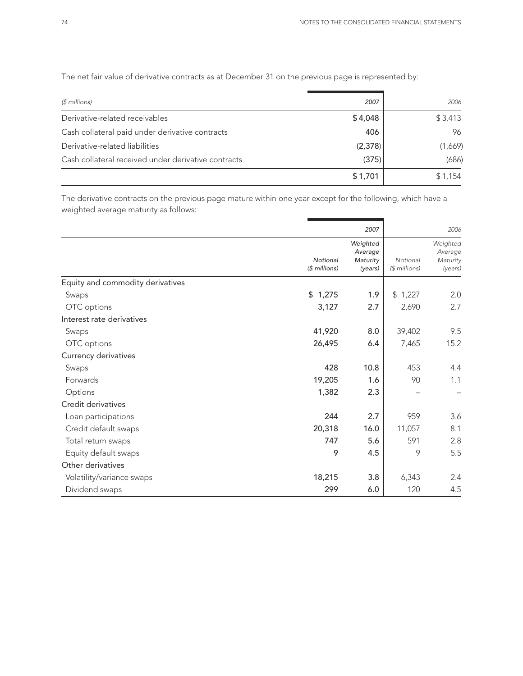| $$$ millions)                                       | 2007    | 2006    |
|-----------------------------------------------------|---------|---------|
| Derivative-related receivables                      | \$4,048 | \$3,413 |
| Cash collateral paid under derivative contracts     | 406     | 96      |
| Derivative-related liabilities                      | (2,378) | (1,669) |
| Cash collateral received under derivative contracts | (375)   | (686)   |
|                                                     | \$1,701 | \$1,154 |

The net fair value of derivative contracts as at December 31 on the previous page is represented by:

The derivative contracts on the previous page mature within one year except for the following, which have a weighted average maturity as follows:

|                                  |                           | 2007                                       |                           | 2006                                       |
|----------------------------------|---------------------------|--------------------------------------------|---------------------------|--------------------------------------------|
|                                  | Notional<br>(\$ millions) | Weighted<br>Average<br>Maturity<br>(years) | Notional<br>$$$ millions) | Weighted<br>Average<br>Maturity<br>(years) |
| Equity and commodity derivatives |                           |                                            |                           |                                            |
| Swaps                            | \$1,275                   | 1.9                                        | \$1,227                   | 2.0                                        |
| OTC options                      | 3,127                     | 2.7                                        | 2,690                     | 2.7                                        |
| Interest rate derivatives        |                           |                                            |                           |                                            |
| Swaps                            | 41,920                    | 8.0                                        | 39,402                    | 9.5                                        |
| OTC options                      | 26,495                    | 6.4                                        | 7,465                     | 15.2                                       |
| Currency derivatives             |                           |                                            |                           |                                            |
| Swaps                            | 428                       | 10.8                                       | 453                       | 4.4                                        |
| Forwards                         | 19,205                    | 1.6                                        | 90                        | 1.1                                        |
| Options                          | 1,382                     | 2.3                                        |                           |                                            |
| Credit derivatives               |                           |                                            |                           |                                            |
| Loan participations              | 244                       | 2.7                                        | 959                       | 3.6                                        |
| Credit default swaps             | 20,318                    | 16.0                                       | 11,057                    | 8.1                                        |
| Total return swaps               | 747                       | 5.6                                        | 591                       | 2.8                                        |
| Equity default swaps             | 9                         | 4.5                                        | 9                         | 5.5                                        |
| Other derivatives                |                           |                                            |                           |                                            |
| Volatility/variance swaps        | 18,215                    | 3.8                                        | 6,343                     | 2.4                                        |
| Dividend swaps                   | 299                       | 6.0                                        | 120                       | 4.5                                        |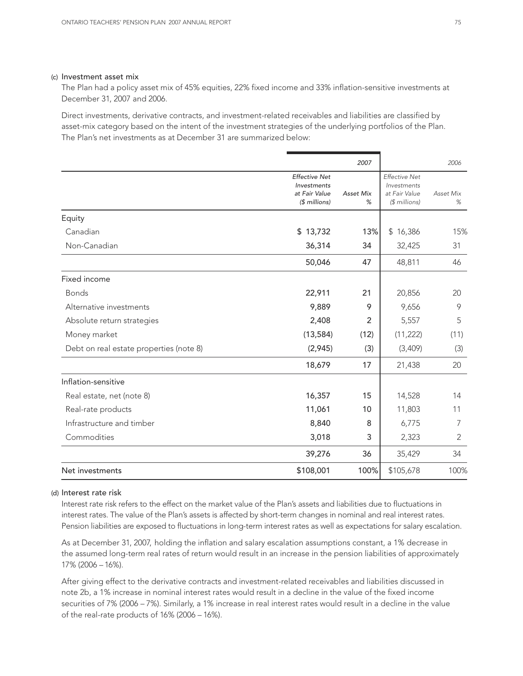#### (c) Investment asset mix

The Plan had a policy asset mix of 45% equities, 22% fixed income and 33% inflation-sensitive investments at December 31, 2007 and 2006.

Direct investments, derivative contracts, and investment-related receivables and liabilities are classified by asset-mix category based on the intent of the investment strategies of the underlying portfolios of the Plan. The Plan's net investments as at December 31 are summarized below:

|                                         |                                                                                            | 2007                  |                                                                       | 2006           |
|-----------------------------------------|--------------------------------------------------------------------------------------------|-----------------------|-----------------------------------------------------------------------|----------------|
|                                         | <b>Effective Net</b><br><i><u><b>Investments</b></u></i><br>at Fair Value<br>$$$ millions) | <b>Asset Mix</b><br>% | <b>Effective Net</b><br>Investments<br>at Fair Value<br>(\$ millions) | Asset Mix<br>% |
| Equity                                  |                                                                                            |                       |                                                                       |                |
| Canadian                                | \$13,732                                                                                   | 13%                   | \$16,386                                                              | 15%            |
| Non-Canadian                            | 36,314                                                                                     | 34                    | 32,425                                                                | 31             |
|                                         | 50,046                                                                                     | 47                    | 48,811                                                                | 46             |
| Fixed income                            |                                                                                            |                       |                                                                       |                |
| <b>Bonds</b>                            | 22,911                                                                                     | 21                    | 20,856                                                                | 20             |
| Alternative investments                 | 9,889                                                                                      | 9                     | 9,656                                                                 | 9              |
| Absolute return strategies              | 2,408                                                                                      | 2                     | 5,557                                                                 | 5              |
| Money market                            | (13, 584)                                                                                  | (12)                  | (11, 222)                                                             | (11)           |
| Debt on real estate properties (note 8) | (2,945)                                                                                    | (3)                   | (3,409)                                                               | (3)            |
|                                         | 18,679                                                                                     | 17                    | 21,438                                                                | 20             |
| Inflation-sensitive                     |                                                                                            |                       |                                                                       |                |
| Real estate, net (note 8)               | 16,357                                                                                     | 15                    | 14,528                                                                | 14             |
| Real-rate products                      | 11,061                                                                                     | 10                    | 11,803                                                                | 11             |
| Infrastructure and timber               | 8,840                                                                                      | 8                     | 6,775                                                                 | 7              |
| Commodities                             | 3,018                                                                                      | 3                     | 2,323                                                                 | 2              |
|                                         | 39,276                                                                                     | 36                    | 35,429                                                                | 34             |
| Net investments                         | \$108,001                                                                                  | 100%                  | \$105,678                                                             | 100%           |

#### (d) Interest rate risk

Interest rate risk refers to the effect on the market value of the Plan's assets and liabilities due to fluctuations in interest rates. The value of the Plan's assets is affected by short-term changes in nominal and real interest rates. Pension liabilities are exposed to fluctuations in long-term interest rates as well as expectations for salary escalation.

As at December 31, 2007, holding the inflation and salary escalation assumptions constant, a 1% decrease in the assumed long-term real rates of return would result in an increase in the pension liabilities of approximately 17% (2006 – 16%).

After giving effect to the derivative contracts and investment-related receivables and liabilities discussed in note 2b, a 1% increase in nominal interest rates would result in a decline in the value of the fixed income securities of 7% (2006 – 7%). Similarly, a 1% increase in real interest rates would result in a decline in the value of the real-rate products of 16% (2006 – 16%).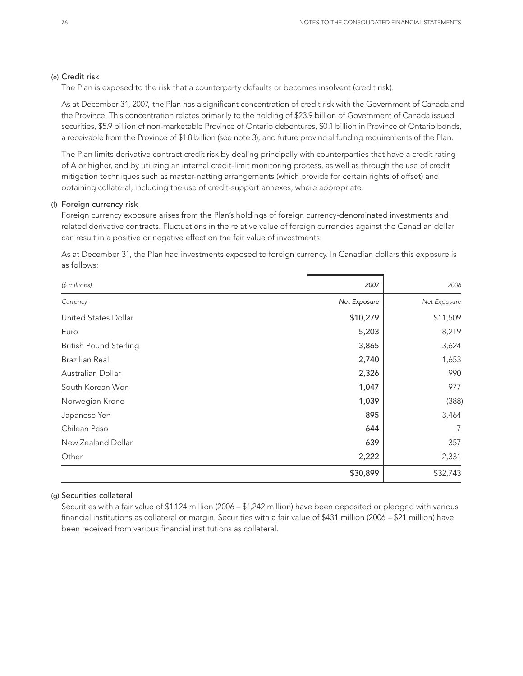#### (e) Credit risk

The Plan is exposed to the risk that a counterparty defaults or becomes insolvent (credit risk).

As at December 31, 2007, the Plan has a significant concentration of credit risk with the Government of Canada and the Province. This concentration relates primarily to the holding of \$23.9 billion of Government of Canada issued securities, \$5.9 billion of non-marketable Province of Ontario debentures, \$0.1 billion in Province of Ontario bonds, a receivable from the Province of \$1.8 billion (see note 3), and future provincial funding requirements of the Plan.

The Plan limits derivative contract credit risk by dealing principally with counterparties that have a credit rating of A or higher, and by utilizing an internal credit-limit monitoring process, as well as through the use of credit mitigation techniques such as master-netting arrangements (which provide for certain rights of offset) and obtaining collateral, including the use of credit-support annexes, where appropriate.

### (f) Foreign currency risk

Foreign currency exposure arises from the Plan's holdings of foreign currency-denominated investments and related derivative contracts. Fluctuations in the relative value of foreign currencies against the Canadian dollar can result in a positive or negative effect on the fair value of investments.

As at December 31, the Plan had investments exposed to foreign currency. In Canadian dollars this exposure is as follows:

| $$$ millions)                 | 2007         | 2006         |
|-------------------------------|--------------|--------------|
| Currency                      | Net Exposure | Net Exposure |
| United States Dollar          | \$10,279     | \$11,509     |
| Euro                          | 5,203        | 8,219        |
| <b>British Pound Sterling</b> | 3,865        | 3,624        |
| Brazilian Real                | 2,740        | 1,653        |
| Australian Dollar             | 2,326        | 990          |
| South Korean Won              | 1,047        | 977          |
| Norwegian Krone               | 1,039        | (388)        |
| Japanese Yen                  | 895          | 3,464        |
| Chilean Peso                  | 644          | 7            |
| New Zealand Dollar            | 639          | 357          |
| Other                         | 2,222        | 2,331        |
|                               | \$30,899     | \$32,743     |

## (g) Securities collateral

Securities with a fair value of \$1,124 million (2006 – \$1,242 million) have been deposited or pledged with various financial institutions as collateral or margin. Securities with a fair value of \$431 million (2006 – \$21 million) have been received from various financial institutions as collateral.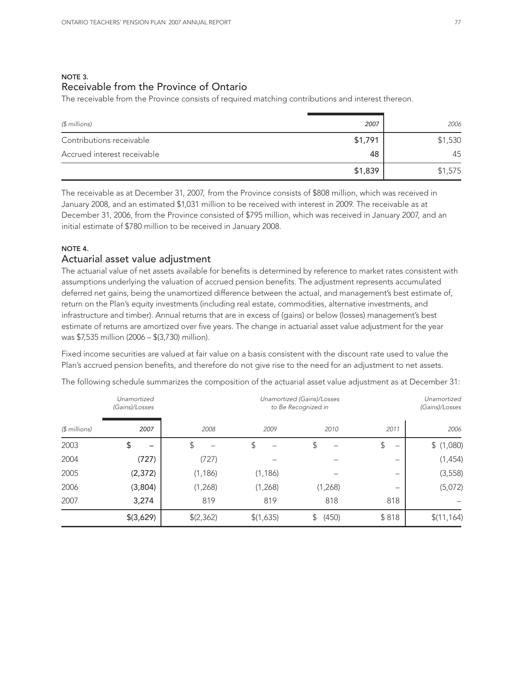## NOTE 3. Receivable from the Province of Ontario

The receivable from the Province consists of required matching contributions and interest thereon.

| $$$ millions)               | 2007    | 2006    |
|-----------------------------|---------|---------|
| Contributions receivable    | \$1,791 | \$1,530 |
| Accrued interest receivable | 48      | 45      |
|                             | \$1,839 | \$1,575 |

The receivable as at December 31, 2007, from the Province consists of \$808 million, which was received in January 2008, and an estimated \$1,031 million to be received with interest in 2009. The receivable as at December 31, 2006, from the Province consisted of \$795 million, which was received in January 2007, and an initial estimate of \$780 million to be received in January 2008.

## NOTE 4.

## Actuarial asset value adjustment

The actuarial value of net assets available for benefits is determined by reference to market rates consistent with assumptions underlying the valuation of accrued pension benefits. The adjustment represents accumulated deferred net gains, being the unamortized difference between the actual, and management's best estimate of, return on the Plan's equity investments (including real estate, commodities, alternative investments, and infrastructure and timber). Annual returns that are in excess of (gains) or below (losses) management's best estimate of returns are amortized over five years. The change in actuarial asset value adjustment for the year was \$7,535 million (2006 – \$(3,730) million).

Fixed income securities are valued at fair value on a basis consistent with the discount rate used to value the Plan's accrued pension benefits, and therefore do not give rise to the need for an adjustment to net assets.

|               | Unamortized<br>(Gains)/Losses |          |           | Unamortized (Gains)/Losses<br>to Be Recognized in |         | Unamortized<br>(Gains)/Losses |
|---------------|-------------------------------|----------|-----------|---------------------------------------------------|---------|-------------------------------|
| $$$ millions) | 2007                          | 2008     | 2009      | 2010                                              | 2011    | 2006                          |
| 2003          | \$                            | \$       | \$        | \$                                                | \$<br>- | \$(1,080)                     |
| 2004          | (727)                         | (727)    |           |                                                   | -       | (1, 454)                      |
| 2005          | (2, 372)                      | (1, 186) | (1, 186)  |                                                   | -       | (3, 558)                      |
| 2006          | (3,804)                       | (1,268)  | (1,268)   | (1,268)                                           | -       | (5,072)                       |
| 2007          | 3,274                         | 819      | 819       | 818                                               | 818     |                               |
|               | \$(3,629)                     | (2,362)  | \$(1,635) | (450)<br>\$                                       | \$818   | \$(11, 164)                   |

The following schedule summarizes the composition of the actuarial asset value adjustment as at December 31: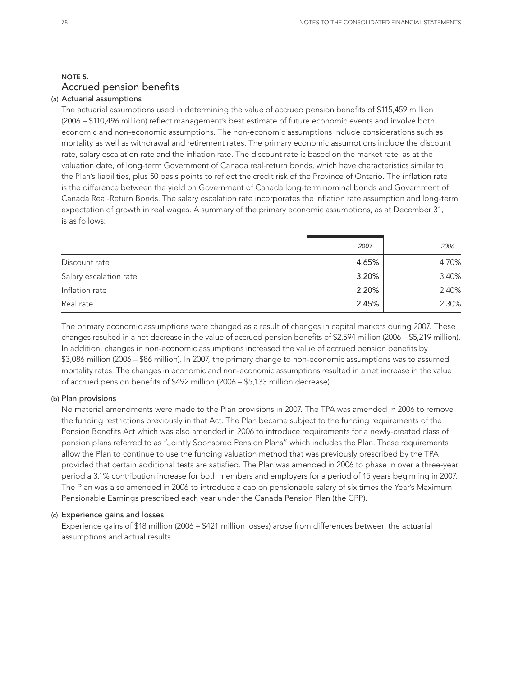## NOTE 5. Accrued pension benefits

#### (a) Actuarial assumptions

The actuarial assumptions used in determining the value of accrued pension benefits of \$115,459 million (2006 – \$110,496 million) reflect management's best estimate of future economic events and involve both economic and non-economic assumptions. The non-economic assumptions include considerations such as mortality as well as withdrawal and retirement rates. The primary economic assumptions include the discount rate, salary escalation rate and the inflation rate. The discount rate is based on the market rate, as at the valuation date, of long-term Government of Canada real-return bonds, which have characteristics similar to the Plan's liabilities, plus 50 basis points to reflect the credit risk of the Province of Ontario. The inflation rate is the difference between the yield on Government of Canada long-term nominal bonds and Government of Canada Real-Return Bonds. The salary escalation rate incorporates the inflation rate assumption and long-term expectation of growth in real wages. A summary of the primary economic assumptions, as at December 31, is as follows:

|                        | 2007  | 2006  |
|------------------------|-------|-------|
| Discount rate          | 4.65% | 4.70% |
| Salary escalation rate | 3.20% | 3.40% |
| Inflation rate         | 2.20% | 2.40% |
| Real rate              | 2.45% | 2.30% |
|                        |       |       |

The primary economic assumptions were changed as a result of changes in capital markets during 2007. These changes resulted in a net decrease in the value of accrued pension benefits of \$2,594 million (2006 – \$5,219 million). In addition, changes in non-economic assumptions increased the value of accrued pension benefits by \$3,086 million (2006 – \$86 million). In 2007, the primary change to non-economic assumptions was to assumed mortality rates. The changes in economic and non-economic assumptions resulted in a net increase in the value of accrued pension benefits of \$492 million (2006 – \$5,133 million decrease).

#### (b) Plan provisions

No material amendments were made to the Plan provisions in 2007. The TPA was amended in 2006 to remove the funding restrictions previously in that Act. The Plan became subject to the funding requirements of the Pension Benefits Act which was also amended in 2006 to introduce requirements for a newly-created class of pension plans referred to as "Jointly Sponsored Pension Plans" which includes the Plan. These requirements allow the Plan to continue to use the funding valuation method that was previously prescribed by the TPA provided that certain additional tests are satisfied. The Plan was amended in 2006 to phase in over a three-year period a 3.1% contribution increase for both members and employers for a period of 15 years beginning in 2007. The Plan was also amended in 2006 to introduce a cap on pensionable salary of six times the Year's Maximum Pensionable Earnings prescribed each year under the Canada Pension Plan (the CPP).

## (c) Experience gains and losses

Experience gains of \$18 million (2006 – \$421 million losses) arose from differences between the actuarial assumptions and actual results.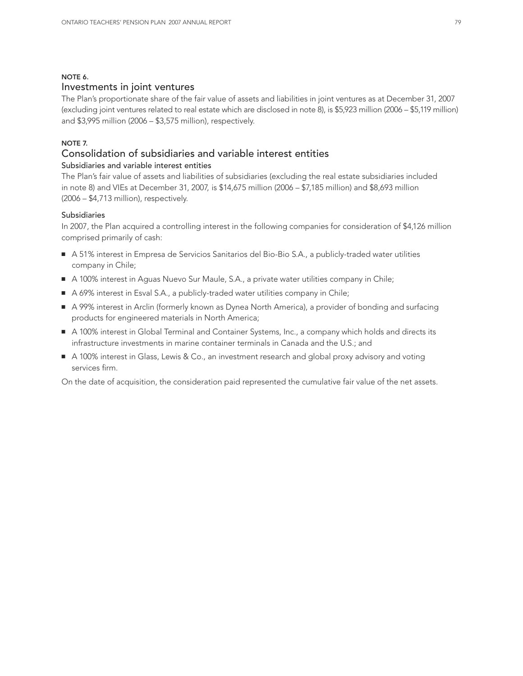#### NOTE 6.

## Investments in joint ventures

The Plan's proportionate share of the fair value of assets and liabilities in joint ventures as at December 31, 2007 (excluding joint ventures related to real estate which are disclosed in note 8), is \$5,923 million (2006 – \$5,119 million) and \$3,995 million (2006 – \$3,575 million), respectively.

## NOTE 7.

## Consolidation of subsidiaries and variable interest entities

## Subsidiaries and variable interest entities

The Plan's fair value of assets and liabilities of subsidiaries (excluding the real estate subsidiaries included in note 8) and VIEs at December 31, 2007, is \$14,675 million (2006 – \$7,185 million) and \$8,693 million (2006 – \$4,713 million), respectively.

## Subsidiaries

In 2007, the Plan acquired a controlling interest in the following companies for consideration of \$4,126 million comprised primarily of cash:

- A 51% interest in Empresa de Servicios Sanitarios del Bio-Bio S.A., a publicly-traded water utilities company in Chile;
- A 100% interest in Aguas Nuevo Sur Maule, S.A., a private water utilities company in Chile;
- A 69% interest in Esval S.A., a publicly-traded water utilities company in Chile;
- A 99% interest in Arclin (formerly known as Dynea North America), a provider of bonding and surfacing products for engineered materials in North America;
- A 100% interest in Global Terminal and Container Systems, Inc., a company which holds and directs its infrastructure investments in marine container terminals in Canada and the U.S.; and
- A 100% interest in Glass, Lewis & Co., an investment research and global proxy advisory and voting services firm.

On the date of acquisition, the consideration paid represented the cumulative fair value of the net assets.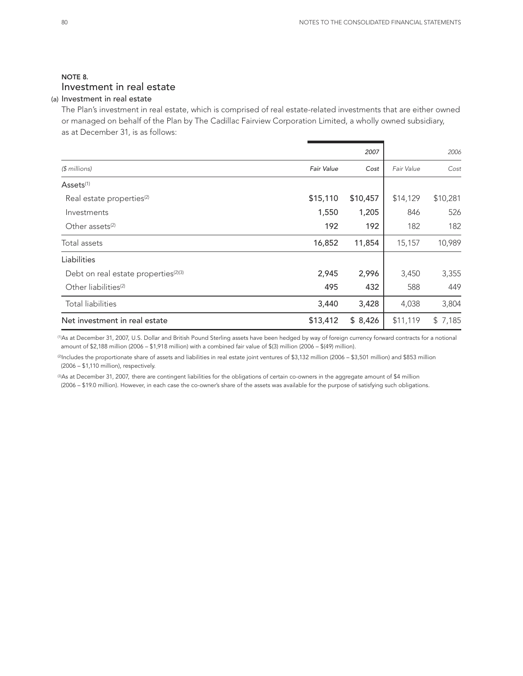## NOTE 8. Investment in real estate

## (a) Investment in real estate

The Plan's investment in real estate, which is comprised of real estate-related investments that are either owned or managed on behalf of the Plan by The Cadillac Fairview Corporation Limited, a wholly owned subsidiary, as at December 31, is as follows:

|                                                  |                   | 2007     |            | 2006     |
|--------------------------------------------------|-------------------|----------|------------|----------|
| $$$ millions)                                    | <b>Fair Value</b> | Cost     | Fair Value | Cost     |
| Assets <sup>(1)</sup>                            |                   |          |            |          |
| Real estate properties <sup>(2)</sup>            | \$15,110          | \$10,457 | \$14,129   | \$10,281 |
| Investments                                      | 1,550             | 1,205    | 846        | 526      |
| Other assets <sup>(2)</sup>                      | 192               | 192      | 182        | 182      |
| Total assets                                     | 16,852            | 11,854   | 15,157     | 10,989   |
| Liabilities                                      |                   |          |            |          |
| Debt on real estate properties <sup>(2)(3)</sup> | 2,945             | 2,996    | 3,450      | 3,355    |
| Other liabilities <sup>(2)</sup>                 | 495               | 432      | 588        | 449      |
| <b>Total liabilities</b>                         | 3,440             | 3,428    | 4,038      | 3,804    |
| Net investment in real estate                    | \$13,412          | \$8,426  | \$11,119   | \$7,185  |

(1) As at December 31, 2007, U.S. Dollar and British Pound Sterling assets have been hedged by way of foreign currency forward contracts for a notional amount of \$2,188 million (2006 – \$1,918 million) with a combined fair value of \$(3) million (2006 – \$(49) million).

(2) Includes the proportionate share of assets and liabilities in real estate joint ventures of \$3,132 million (2006 – \$3,501 million) and \$853 million (2006 – \$1,110 million), respectively.

©As at December 31, 2007, there are contingent liabilities for the obligations of certain co-owners in the aggregate amount of \$4 million (2006 – \$19.0 million). However, in each case the co-owner's share of the assets was available for the purpose of satisfying such obligations.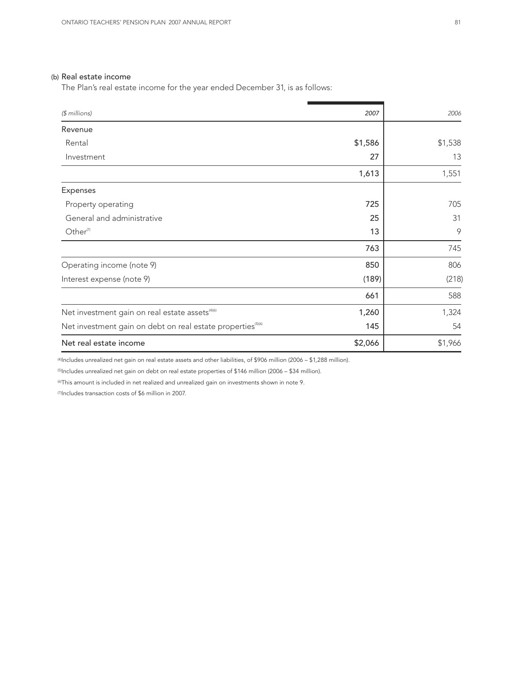#### (b) Real estate income

The Plan's real estate income for the year ended December 31, is as follows:

| $$$ millions)                                                           | 2007    | 2006    |
|-------------------------------------------------------------------------|---------|---------|
| Revenue                                                                 |         |         |
| Rental                                                                  | \$1,586 | \$1,538 |
| Investment                                                              | 27      | 13      |
|                                                                         | 1,613   | 1,551   |
| Expenses                                                                |         |         |
| Property operating                                                      | 725     | 705     |
| General and administrative                                              | 25      | 31      |
| Other <sup>(7)</sup>                                                    | 13      | 9       |
|                                                                         | 763     | 745     |
| Operating income (note 9)                                               | 850     | 806     |
| Interest expense (note 9)                                               | (189)   | (218)   |
|                                                                         | 661     | 588     |
| Net investment gain on real estate assets <sup>(4)(6)</sup>             | 1,260   | 1,324   |
| Net investment gain on debt on real estate properties <sup>(5)(6)</sup> | 145     | 54      |
| Net real estate income                                                  | \$2,066 | \$1,966 |

(4) Includes unrealized net gain on real estate assets and other liabilities, of \$906 million (2006 – \$1,288 million).

(5) Includes unrealized net gain on debt on real estate properties of \$146 million (2006 – \$34 million).

(6) This amount is included in net realized and unrealized gain on investments shown in note 9.

(7) Includes transaction costs of \$6 million in 2007.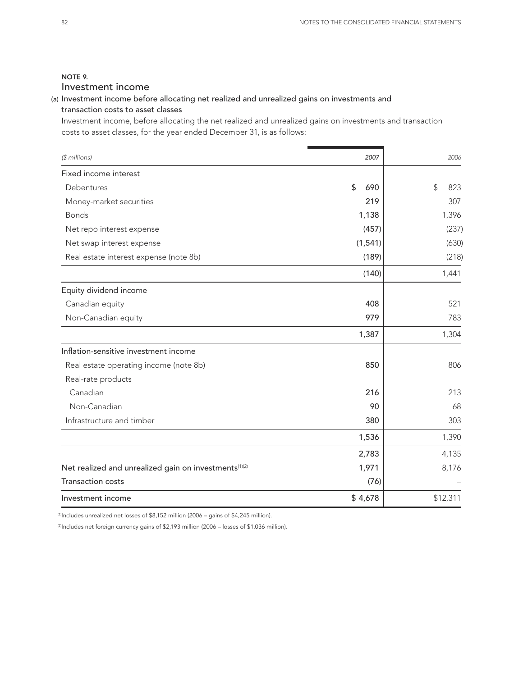## NOTE 9. Investment income

## (a) Investment income before allocating net realized and unrealized gains on investments and transaction costs to asset classes

Investment income, before allocating the net realized and unrealized gains on investments and transaction costs to asset classes, for the year ended December 31, is as follows:

| $$$ millions)                                         | 2007      | 2006      |
|-------------------------------------------------------|-----------|-----------|
| Fixed income interest                                 |           |           |
| Debentures                                            | \$<br>690 | \$<br>823 |
| Money-market securities                               | 219       | 307       |
| <b>Bonds</b>                                          | 1,138     | 1,396     |
| Net repo interest expense                             | (457)     | (237)     |
| Net swap interest expense                             | (1, 541)  | (630)     |
| Real estate interest expense (note 8b)                | (189)     | (218)     |
|                                                       | (140)     | 1,441     |
| Equity dividend income                                |           |           |
| Canadian equity                                       | 408       | 521       |
| Non-Canadian equity                                   | 979       | 783       |
|                                                       | 1,387     | 1,304     |
| Inflation-sensitive investment income                 |           |           |
| Real estate operating income (note 8b)                | 850       | 806       |
| Real-rate products                                    |           |           |
| Canadian                                              | 216       | 213       |
| Non-Canadian                                          | 90        | 68        |
| Infrastructure and timber                             | 380       | 303       |
|                                                       | 1,536     | 1,390     |
|                                                       | 2,783     | 4,135     |
| Net realized and unrealized gain on investments(1)(2) | 1,971     | 8,176     |
| <b>Transaction costs</b>                              | (76)      |           |
| Investment income                                     | \$4,678   | \$12,311  |

(1) Includes unrealized net losses of \$8,152 million (2006 – gains of \$4,245 million).

(2) Includes net foreign currency gains of \$2,193 million (2006 – losses of \$1,036 million).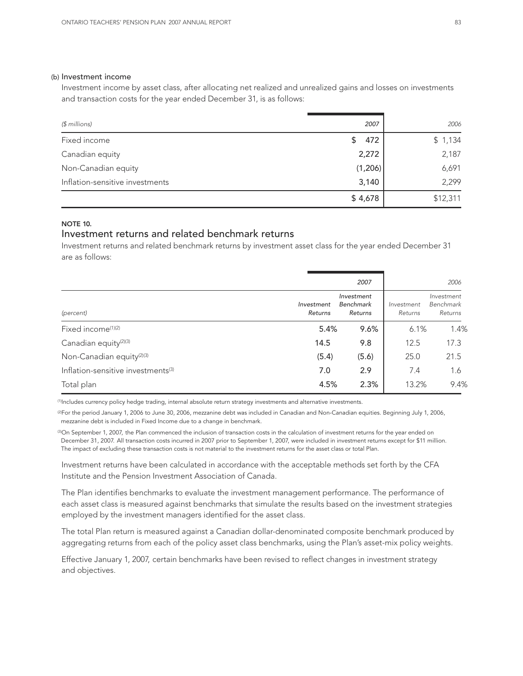#### (b) Investment income

Investment income by asset class, after allocating net realized and unrealized gains and losses on investments and transaction costs for the year ended December 31, is as follows:

| (\$ millions)                   | 2007      | 2006     |
|---------------------------------|-----------|----------|
| Fixed income                    | 472<br>\$ | \$1,134  |
| Canadian equity                 | 2,272     | 2,187    |
| Non-Canadian equity             | (1,206)   | 6,691    |
| Inflation-sensitive investments | 3,140     | 2,299    |
|                                 | \$4,678   | \$12,311 |

#### NOTE 10.

## Investment returns and related benchmark returns

Investment returns and related benchmark returns by investment asset class for the year ended December 31 are as follows:

|                                                |                       | 2007                                      |                       | 2006                               |
|------------------------------------------------|-----------------------|-------------------------------------------|-----------------------|------------------------------------|
| (percent)                                      | Investment<br>Returns | Investment<br><b>Benchmark</b><br>Returns | Investment<br>Returns | Investment<br>Benchmark<br>Returns |
| Fixed income <sup>(1)(2)</sup>                 | 5.4%                  | 9.6%                                      | 6.1%                  | 1.4%                               |
| Canadian equity <sup>(2)(3)</sup>              | 14.5                  | 9.8                                       | 12.5                  | 17.3                               |
| Non-Canadian equity <sup>(2)(3)</sup>          | (5.4)                 | (5.6)                                     | 25.0                  | 21.5                               |
| Inflation-sensitive investments <sup>(3)</sup> | 7.0                   | 2.9                                       | 7.4                   | 1.6                                |
| Total plan                                     | 4.5%                  | 2.3%                                      | 13.2%                 | 9.4%                               |

(1) Includes currency policy hedge trading, internal absolute return strategy investments and alternative investments.

(2) For the period January 1, 2006 to June 30, 2006, mezzanine debt was included in Canadian and Non-Canadian equities. Beginning July 1, 2006, mezzanine debt is included in Fixed Income due to a change in benchmark.

©On September 1, 2007, the Plan commenced the inclusion of transaction costs in the calculation of investment returns for the year ended on December 31, 2007. All transaction costs incurred in 2007 prior to September 1, 2007, were included in investment returns except for \$11 million. The impact of excluding these transaction costs is not material to the investment returns for the asset class or total Plan.

Investment returns have been calculated in accordance with the acceptable methods set forth by the CFA Institute and the Pension Investment Association of Canada.

The Plan identifies benchmarks to evaluate the investment management performance. The performance of each asset class is measured against benchmarks that simulate the results based on the investment strategies employed by the investment managers identified for the asset class.

The total Plan return is measured against a Canadian dollar-denominated composite benchmark produced by aggregating returns from each of the policy asset class benchmarks, using the Plan's asset-mix policy weights.

Effective January 1, 2007, certain benchmarks have been revised to reflect changes in investment strategy and objectives.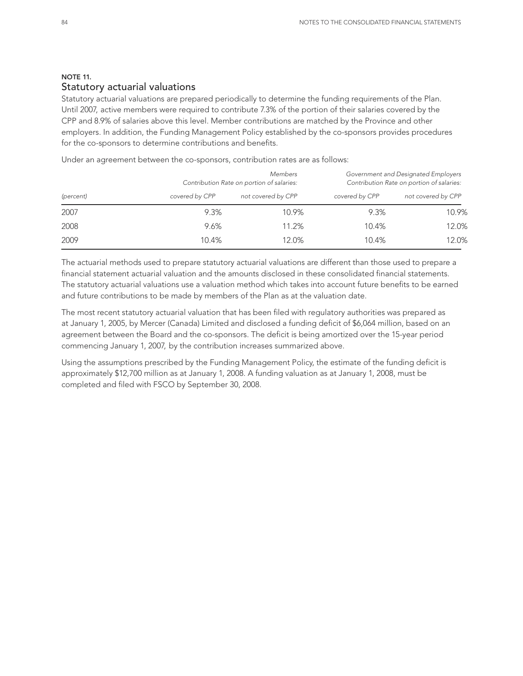## NOTE 11. Statutory actuarial valuations

Statutory actuarial valuations are prepared periodically to determine the funding requirements of the Plan. Until 2007, active members were required to contribute 7.3% of the portion of their salaries covered by the CPP and 8.9% of salaries above this level. Member contributions are matched by the Province and other employers. In addition, the Funding Management Policy established by the co-sponsors provides procedures for the co-sponsors to determine contributions and benefits.

*Members Government and Designated Employers Contribution Rate on portion of salaries: Contribution Rate on portion of salaries: (percent) covered by CPP not covered by CPP covered by CPP not covered by CPP* 2007 9.3% 10.9% 9.3% 10.9% 2008 9.6% 11.2% 10.4% 12.0% 2009 10.4% 12.0% 10.4% 12.0%

Under an agreement between the co-sponsors, contribution rates are as follows:

The actuarial methods used to prepare statutory actuarial valuations are different than those used to prepare a financial statement actuarial valuation and the amounts disclosed in these consolidated financial statements. The statutory actuarial valuations use a valuation method which takes into account future benefits to be earned and future contributions to be made by members of the Plan as at the valuation date.

The most recent statutory actuarial valuation that has been filed with regulatory authorities was prepared as at January 1, 2005, by Mercer (Canada) Limited and disclosed a funding deficit of \$6,064 million, based on an agreement between the Board and the co-sponsors. The deficit is being amortized over the 15-year period commencing January 1, 2007, by the contribution increases summarized above.

Using the assumptions prescribed by the Funding Management Policy, the estimate of the funding deficit is approximately \$12,700 million as at January 1, 2008. A funding valuation as at January 1, 2008, must be completed and filed with FSCO by September 30, 2008.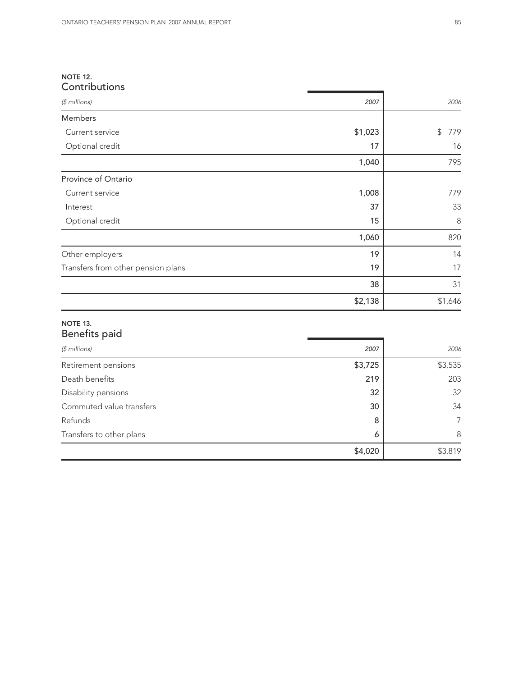## NOTE 12. **Contributions**

| \$1,023<br>\$ | 779     |
|---------------|---------|
| 17            | 16      |
| 1,040         | 795     |
|               |         |
| 1,008         | 779     |
| 37            | 33      |
| 15            | 8       |
| 1,060         | 820     |
| 19            | 14      |
| 19            | 17      |
| 38            | 31      |
| \$2,138       | \$1,646 |
|               |         |

## Benefits paid

| $$$ millions)            | 2007    | 2006           |
|--------------------------|---------|----------------|
| Retirement pensions      | \$3,725 | \$3,535        |
| Death benefits           | 219     | 203            |
| Disability pensions      | 32      | 32             |
| Commuted value transfers | 30      | 34             |
| Refunds                  | 8       | $\overline{7}$ |
| Transfers to other plans | 6       | 8              |
|                          | \$4,020 | \$3,819        |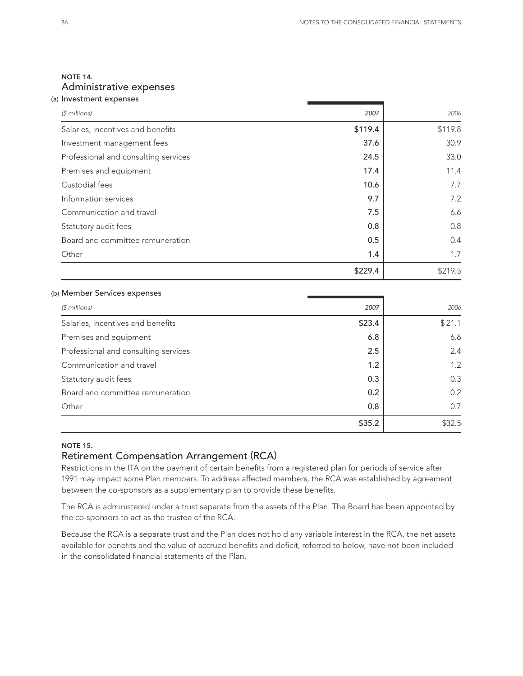## NOTE 14. Administrative expenses

| (a) Investment expenses              |         |         |
|--------------------------------------|---------|---------|
| $$$ millions)                        | 2007    | 2006    |
| Salaries, incentives and benefits    | \$119.4 | \$119.8 |
| Investment management fees           | 37.6    | 30.9    |
| Professional and consulting services | 24.5    | 33.0    |
| Premises and equipment               | 17.4    | 11.4    |
| Custodial fees                       | 10.6    | 7.7     |
| Information services                 | 9.7     | 7.2     |
| Communication and travel             | 7.5     | 6.6     |
| Statutory audit fees                 | 0.8     | 0.8     |
| Board and committee remuneration     | 0.5     | 0.4     |
| Other                                | 1.4     | 1.7     |
|                                      | \$229.4 | \$219.5 |

#### (b) Member Services expenses

| $$$ millions)                        | 2007   | 2006   |
|--------------------------------------|--------|--------|
| Salaries, incentives and benefits    | \$23.4 | \$21.1 |
| Premises and equipment               | 6.8    | 6.6    |
| Professional and consulting services | 2.5    | 2.4    |
| Communication and travel             | 1.2    | 1.2    |
| Statutory audit fees                 | 0.3    | 0.3    |
| Board and committee remuneration     | 0.2    | 0.2    |
| Other                                | 0.8    | 0.7    |
|                                      | \$35.2 | \$32.5 |

## NOTE 15.

## Retirement Compensation Arrangement (RCA)

Restrictions in the ITA on the payment of certain benefits from a registered plan for periods of service after 1991 may impact some Plan members. To address affected members, the RCA was established by agreement between the co-sponsors as a supplementary plan to provide these benefits.

The RCA is administered under a trust separate from the assets of the Plan. The Board has been appointed by the co-sponsors to act as the trustee of the RCA.

Because the RCA is a separate trust and the Plan does not hold any variable interest in the RCA, the net assets available for benefits and the value of accrued benefits and deficit, referred to below, have not been included in the consolidated financial statements of the Plan.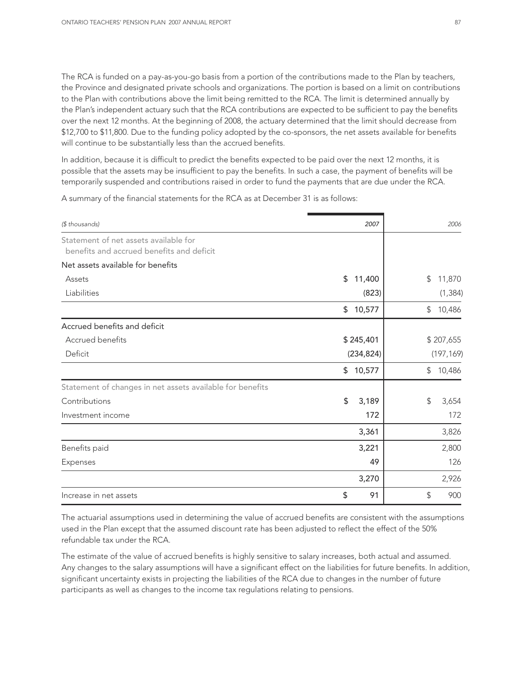The RCA is funded on a pay-as-you-go basis from a portion of the contributions made to the Plan by teachers, the Province and designated private schools and organizations. The portion is based on a limit on contributions to the Plan with contributions above the limit being remitted to the RCA. The limit is determined annually by the Plan's independent actuary such that the RCA contributions are expected to be sufficient to pay the benefits over the next 12 months. At the beginning of 2008, the actuary determined that the limit should decrease from \$12,700 to \$11,800. Due to the funding policy adopted by the co-sponsors, the net assets available for benefits will continue to be substantially less than the accrued benefits.

In addition, because it is difficult to predict the benefits expected to be paid over the next 12 months, it is possible that the assets may be insufficient to pay the benefits. In such a case, the payment of benefits will be temporarily suspended and contributions raised in order to fund the payments that are due under the RCA.

A summary of the financial statements for the RCA as at December 31 is as follows:

| (\$ thousands)                                                                     | 2007         | 2006                  |
|------------------------------------------------------------------------------------|--------------|-----------------------|
| Statement of net assets available for<br>benefits and accrued benefits and deficit |              |                       |
| Net assets available for benefits                                                  |              |                       |
| Assets                                                                             | \$<br>11,400 | \$<br>11,870          |
| Liabilities                                                                        | (823)        | (1, 384)              |
|                                                                                    | 10,577<br>\$ | \$<br>10,486          |
| Accrued benefits and deficit                                                       |              |                       |
| Accrued benefits                                                                   | \$245,401    | \$207,655             |
| Deficit                                                                            | (234, 824)   | (197, 169)            |
|                                                                                    | 10,577<br>\$ | 10,486<br>\$          |
| Statement of changes in net assets available for benefits                          |              |                       |
| Contributions                                                                      | \$<br>3,189  | \$<br>3,654           |
| Investment income                                                                  | 172          | 172                   |
|                                                                                    | 3,361        | 3,826                 |
| Benefits paid                                                                      | 3,221        | 2,800                 |
| Expenses                                                                           | 49           | 126                   |
|                                                                                    | 3,270        | 2,926                 |
| Increase in net assets                                                             | \$<br>91     | $\mathfrak{D}$<br>900 |

The actuarial assumptions used in determining the value of accrued benefits are consistent with the assumptions used in the Plan except that the assumed discount rate has been adjusted to reflect the effect of the 50% refundable tax under the RCA.

The estimate of the value of accrued benefits is highly sensitive to salary increases, both actual and assumed. Any changes to the salary assumptions will have a significant effect on the liabilities for future benefits. In addition, significant uncertainty exists in projecting the liabilities of the RCA due to changes in the number of future participants as well as changes to the income tax regulations relating to pensions.